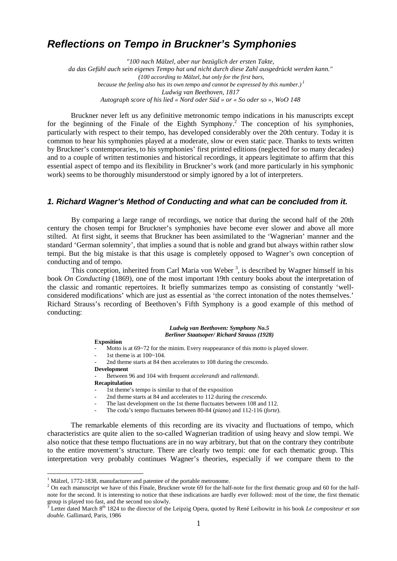# **Reflections on Tempo in Bruckner's Symphonies**

*"100 nach Mälzel, aber nur bezüglich der ersten Takte, da das Gefühl auch sein eigenes Tempo hat und nicht durch diese Zahl ausgedrückt werden kann." (100 according to Mälzel, but only for the first bars, because the feeling also has its own tempo and cannot be expressed by this number.)<sup>1</sup> Ludwig van Beethoven, 1817 Autograph score of his lied « Nord oder Süd » or « So oder so », WoO 148* 

Bruckner never left us any definitive metronomic tempo indications in his manuscripts except for the beginning of the Finale of the Eighth Symphony.<sup>2</sup> The conception of his symphonies, particularly with respect to their tempo, has developed considerably over the 20th century. Today it is common to hear his symphonies played at a moderate, slow or even static pace. Thanks to texts written by Bruckner's contemporaries, to his symphonies' first printed editions (neglected for so many decades) and to a couple of written testimonies and historical recordings, it appears legitimate to affirm that this essential aspect of tempo and its flexibility in Bruckner's work (and more particularly in his symphonic work) seems to be thoroughly misunderstood or simply ignored by a lot of interpreters.

## **1. Richard Wagner's Method of Conducting and what can be concluded from it.**

By comparing a large range of recordings, we notice that during the second half of the 20th century the chosen tempi for Bruckner's symphonies have become ever slower and above all more stilted. At first sight, it seems that Bruckner has been assimilated to the 'Wagnerian' manner and the standard 'German solemnity', that implies a sound that is noble and grand but always within rather slow tempi. But the big mistake is that this usage is completely opposed to Wagner's own conception of conducting and of tempo.

This conception, inherited from Carl Maria von Weber<sup>3</sup>, is described by Wagner himself in his book *On Conducting* (1869), one of the most important 19th century books about the interpretation of the classic and romantic repertoires. It briefly summarizes tempo as consisting of constantly 'wellconsidered modifications' which are just as essential as 'the correct intonation of the notes themselves.' Richard Strauss's recording of Beethoven's Fifth Symphony is a good example of this method of conducting:

#### *Ludwig van Beethoven: Symphony No.5 Berliner Staatsoper/ Richard Strauss (1928)*

#### **Exposition**

- Motto is at 69~72 for the minim. Every reappearance of this motto is played slower.
- 1st theme is at  $100 \times 104$ .
- 2nd theme starts at 84 then accelerates to 108 during the crescendo.

## **Development**

- Between 96 and 104 with frequent *accelerandi* and *rallentandi*.

**Recapitulation** 

l

- 1st theme's tempo is similar to that of the exposition
- 2nd theme starts at 84 and accelerates to 112 during the *crescendo*.
- The last development on the 1st theme fluctuates between 108 and 112.
- The coda's tempo fluctuates between 80-84 (*piano*) and 112-116 (*forte*).

The remarkable elements of this recording are its vivacity and fluctuations of tempo, which characteristics are quite alien to the so-called Wagnerian tradition of using heavy and slow tempi. We also notice that these tempo fluctuations are in no way arbitrary, but that on the contrary they contribute to the entire movement's structure. There are clearly two tempi: one for each thematic group. This interpretation very probably continues Wagner's theories, especially if we compare them to the

 $1$  Mälzel, 1772-1838, manufacturer and patentee of the portable metronome.

<sup>&</sup>lt;sup>2</sup> On each manuscript we have of this Finale, Bruckner wrote 69 for the half-note for the first thematic group and 60 for the halfnote for the second. It is interesting to notice that these indications are hardly ever followed: most of the time, the first thematic group is played too fast, and the second too slowly.<br><sup>3</sup> Letter dated March 8<sup>th</sup> 1824 to the director of the Leipzig Opera, quoted by René Leibowitz in his book *Le compositeur et son* 

*double.* Gallimard, Paris, 1986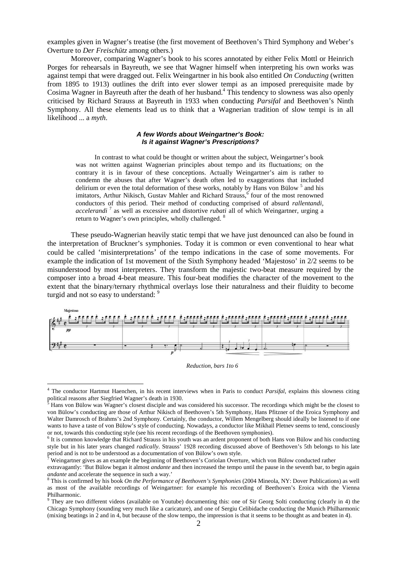examples given in Wagner's treatise (the first movement of Beethoven's Third Symphony and Weber's Overture to *Der Freischütz* among others.)

Moreover, comparing Wagner's book to his scores annotated by either Felix Mottl or Heinrich Porges for rehearsals in Bayreuth, we see that Wagner himself when interpreting his own works was against tempi that were dragged out. Felix Weingartner in his book also entitled *On Conducting* (written from 1895 to 1913) outlines the drift into ever slower tempi as an imposed prerequisite made by Cosima Wagner in Bayreuth after the death of her husband.<sup>4</sup> This tendency to slowness was also openly criticised by Richard Strauss at Bayreuth in 1933 when conducting *Parsifal* and Beethoven's Ninth Symphony. All these elements lead us to think that a Wagnerian tradition of slow tempi is in all likelihood ... a *myth*.

### **A few Words about Weingartner's Book: Is it against Wagner's Prescriptions?**

In contrast to what could be thought or written about the subject, Weingartner's book was not written against Wagnerian principles about tempo and its fluctuations; on the contrary it is in favour of these conceptions. Actually Weingartner's aim is rather to condemn the abuses that after Wagner's death often led to exaggerations that included delirium or even the total deformation of these works, notably by Hans von Bülow<sup>5</sup> and his imitators, Arthur Nikisch, Gustav Mahler and Richard Strauss,<sup>6</sup> four of the most renowned conductors of this period. Their method of conducting comprised of absurd *rallentandi, accelerandi* <sup>7</sup> as well as excessive and distortive *rubati* all of which Weingartner, urging a return to Wagner's own principles, wholly challenged. <sup>8</sup>

These pseudo-Wagnerian heavily static tempi that we have just denounced can also be found in the interpretation of Bruckner's symphonies. Today it is common or even conventional to hear what could be called 'misinterpretations' of the tempo indications in the case of some movements. For example the indication of 1st movement of the Sixth Symphony headed 'Majestoso' in 2/2 seems to be misunderstood by most interpreters. They transform the majestic two-beat measure required by the composer into a broad 4-beat measure. This four-beat modifies the character of the movement to the extent that the binary/ternary rhythmical overlays lose their naturalness and their fluidity to become turgid and not so easy to understand: 9



*Reduction, bars 1to 6* 

 4 The conductor Hartmut Haenchen, in his recent interviews when in Paris to conduct *Parsifal*, explains this slowness citing political reasons after Siegfried Wagner's death in 1930.

 $<sup>5</sup>$  Hans von Bülow was Wagner's closest disciple and was considered his successor. The recordings which might be the closest to</sup> von Bülow's conducting are those of Arthur Nikisch of Beethoven's 5th Symphony, Hans Pfitzner of the Eroica Symphony and Walter Damrosch of Brahms's 2nd Symphony. Certainly, the conductor, Willem Mengelberg should ideally be listened to if one wants to have a taste of von Bülow's style of conducting. Nowadays, a conductor like Mikhaïl Pletnev seems to tend, consciously or not, towards this conducting style (see his recent recordings of the Beethoven symphonies).

<sup>&</sup>lt;sup>6</sup> It is common knowledge that Richard Strauss in his youth was an ardent proponent of both Hans von Bülow and his conducting style but in his later years changed *radically*. Strauss' 1928 recording discussed above of Beethoven's 5th belongs to his late period and is not to be understood as a documentation of von Bülow's own style.<br><sup>7</sup> Weingertner gives as an avenuele the beginning of Beatheven's Ceriolan Quart.

Weingartner gives as an example the beginning of Beethoven's Coriolan Overture, which von Bülow conducted rather

extravagantly: 'But Bülow began it almost *andante* and then increased the tempo until the pause in the seventh bar, to begin again *andante* and accelerate the sequence in such a way.'

<sup>8</sup> This is confirmed by his book *On the Performance of Beethoven's Symphonies* (2004 Mineola, NY: Dover Publications) as well as most of the available recordings of Weingartner: for example his recording of Beethoven's Eroica with the Vienna Philharmonic.

<sup>&</sup>lt;sup>9</sup> They are two different videos (available on Youtube) documenting this: one of Sir Georg Solti conducting (clearly in 4) the Chicago Symphony (sounding very much like a caricature), and one of Sergiu Celibidache conducting the Munich Philharmonic (mixing beatings in 2 and in 4, but because of the slow tempo, the impression is that it seems to be thought as and beaten in 4).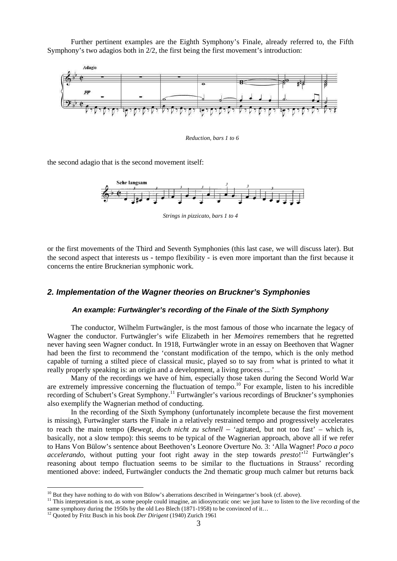Further pertinent examples are the Eighth Symphony's Finale, already referred to, the Fifth Symphony's two adagios both in 2/2, the first being the first movement's introduction:



*Reduction, bars 1 to 6* 

the second adagio that is the second movement itself:



*Strings in pizzicato, bars 1 to 4* 

or the first movements of the Third and Seventh Symphonies (this last case, we will discuss later). But the second aspect that interests us - tempo flexibility - is even more important than the first because it concerns the entire Brucknerian symphonic work.

### **2. Implementation of the Wagner theories on Bruckner's Symphonies**

## **An example: Furtwängler's recording of the Finale of the Sixth Symphony**

The conductor, Wilhelm Furtwängler, is the most famous of those who incarnate the legacy of Wagner the conductor. Furtwängler's wife Elizabeth in her *Memoires* remembers that he regretted never having seen Wagner conduct. In 1918, Furtwängler wrote in an essay on Beethoven that Wagner had been the first to recommend the 'constant modification of the tempo, which is the only method capable of turning a stilted piece of classical music, played so to say from what is printed to what it really properly speaking is: an origin and a development, a living process ... '

Many of the recordings we have of him, especially those taken during the Second World War are extremely impressive concerning the fluctuation of tempo.<sup>10</sup> For example, listen to his incredible recording of Schubert's Great Symphony.<sup>11</sup> Furtwängler's various recordings of Bruckner's symphonies also exemplify the Wagnerian method of conducting.

In the recording of the Sixth Symphony (unfortunately incomplete because the first movement is missing), Furtwängler starts the Finale in a relatively restrained tempo and progressively accelerates to reach the main tempo (*Bewegt, doch nicht zu schnell* – 'agitated, but not too fast' – which is, basically, not a slow tempo): this seems to be typical of the Wagnerian approach, above all if we refer to Hans Von Bülow's sentence about Beethoven's Leonore Overture No. 3: 'Alla Wagner! *Poco a poco accelerando*, without putting your foot right away in the step towards *presto*!<sup>12</sup> Furtwängler's reasoning about tempo fluctuation seems to be similar to the fluctuations in Strauss' recording mentioned above: indeed, Furtwängler conducts the 2nd thematic group much calmer but returns back

<sup>&</sup>lt;sup>10</sup> But they have nothing to do with von Bülow's aberrations described in Weingartner's book (cf. above).

 $11$ . This interpretation is not, as some people could imagine, an idiosyncratic one; we just have to listen to the live recording of the same symphony during the 1950s by the old Leo Blech (1871-1958) to be convinced of it…

<sup>12</sup> Quoted by Fritz Busch in his book *Der Dirigent* (1940) Zurich 1961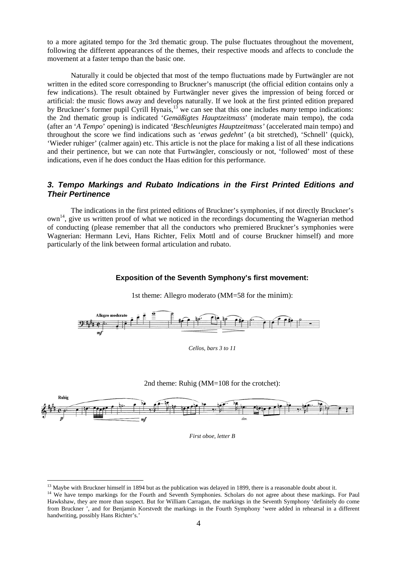to a more agitated tempo for the 3rd thematic group. The pulse fluctuates throughout the movement, following the different appearances of the themes, their respective moods and affects to conclude the movement at a faster tempo than the basic one.

Naturally it could be objected that most of the tempo fluctuations made by Furtwängler are not written in the edited score corresponding to Bruckner's manuscript (the official edition contains only a few indications). The result obtained by Furtwängler never gives the impression of being forced or artificial: the music flows away and develops naturally. If we look at the first printed edition prepared by Bruckner's former pupil Cyrill Hynais,<sup>13</sup> we can see that this one includes *many* tempo indications: the 2nd thematic group is indicated '*Gemäßigtes Hauptzeitmass*' (moderate main tempo), the coda (after an '*A Tempo*' opening) is indicated *'Beschleunigtes Hauptzeitmass'* (accelerated main tempo) and throughout the score we find indications such as '*etwas gedehnt'* (a bit stretched), 'Schnell' (quick), 'Wieder ruhiger' (calmer again) etc. This article is not the place for making a list of all these indications and their pertinence, but we can note that Furtwängler, consciously or not, 'followed' most of these indications, even if he does conduct the Haas edition for this performance.

# **3. Tempo Markings and Rubato Indications in the First Printed Editions and Their Pertinence**

The indications in the first printed editions of Bruckner's symphonies, if not directly Bruckner's own<sup>14</sup>, give us written proof of what we noticed in the recordings documenting the Wagnerian method of conducting (please remember that all the conductors who premiered Bruckner's symphonies were Wagnerian: Hermann Levi, Hans Richter, Felix Mottl and of course Bruckner himself) and more particularly of the link between formal articulation and rubato.

# **Exposition of the Seventh Symphony's first movement:**



1st theme: Allegro moderato (MM=58 for the minim):







*First oboe, letter B* 

 $13$  Maybe with Bruckner himself in 1894 but as the publication was delayed in 1899, there is a reasonable doubt about it.

<sup>&</sup>lt;sup>14</sup> We have tempo markings for the Fourth and Seventh Symphonies. Scholars do not agree about these markings. For Paul Hawkshaw, they are more than suspect. But for William Carragan, the markings in the Seventh Symphony 'definitely do come from Bruckner ', and for Benjamin Korstvedt the markings in the Fourth Symphony 'were added in rehearsal in a different handwriting, possibly Hans Richter's.'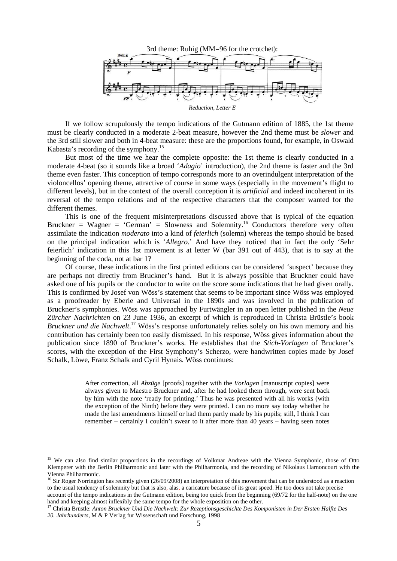

If we follow scrupulously the tempo indications of the Gutmann edition of 1885, the 1st theme must be clearly conducted in a moderate 2-beat measure, however the 2nd theme must be *slower* and the 3rd still slower and both in 4-beat measure: these are the proportions found, for example, in Oswald Kabasta's recording of the symphony.<sup>15</sup>

But most of the time we hear the complete opposite: the 1st theme is clearly conducted in a moderate 4-beat (so it sounds like a broad '*Adagio*' introduction), the 2nd theme is faster and the 3rd theme even faster. This conception of tempo corresponds more to an overindulgent interpretation of the violoncellos' opening theme, attractive of course in some ways (especially in the movement's flight to different levels), but in the context of the overall conception it is *artificial* and indeed incoherent in its reversal of the tempo relations and of the respective characters that the composer wanted for the different themes.

This is one of the frequent misinterpretations discussed above that is typical of the equation Bruckner = Wagner = 'German' = Slowness and Solemnity.<sup>16</sup> Conductors therefore very often assimilate the indication *moderato* into a kind of *feierlich* (solemn) whereas the tempo should be based on the principal indication which is '*Allegro*.' And have they noticed that in fact the only 'Sehr feierlich' indication in this 1st movement is at letter W (bar 391 out of 443), that is to say at the beginning of the coda, not at bar 1?

Of course, these indications in the first printed editions can be considered 'suspect' because they are perhaps not directly from Bruckner's hand. But it is always possible that Bruckner could have asked one of his pupils or the conductor to write on the score some indications that he had given orally. This is confirmed by Josef von Wöss's statement that seems to be important since Wöss was employed as a proofreader by Eberle and Universal in the 1890s and was involved in the publication of Bruckner's symphonies. Wöss was approached by Furtwängler in an open letter published in the *Neue Zürcher Nachrichten* on 23 June 1936, an excerpt of which is reproduced in Christa Brüstle's book *Bruckner und die Nachwelt*. <sup>17</sup> Wöss's response unfortunately relies solely on his own memory and his contribution has certainly been too easily dismissed. In his response, Wöss gives information about the publication since 1890 of Bruckner's works. He establishes that the *Stich-Vorlagen* of Bruckner's scores, with the exception of the First Symphony's Scherzo, were handwritten copies made by Josef Schalk, Löwe, Franz Schalk and Cyril Hynais. Wöss continues:

> After correction, all *Abzüge* [proofs] together with the *Vorlagen* [manuscript copies] were always given to Maestro Bruckner and, after he had looked them through, were sent back by him with the note 'ready for printing.' Thus he was presented with all his works (with the exception of the Ninth) before they were printed. I can no more say today whether he made the last amendments himself or had them partly made by his pupils; still, I think I can remember – certainly I couldn't swear to it after more than 40 years – having seen notes

<sup>&</sup>lt;sup>15</sup> We can also find similar proportions in the recordings of Volkmar Andreae with the Vienna Symphonic, those of Otto Klemperer with the Berlin Philharmonic and later with the Philharmonia, and the recording of Nikolaus Harnoncourt with the Vienna Philharmonic.

<sup>&</sup>lt;sup>16</sup> Sir Roger Norrington has recently given (26/09/2008) an interpretation of this movement that can be understood as a reaction to the usual tendency of solemnity but that is also, alas, a caricature because of its great speed. He too does not take precise account of the tempo indications in the Gutmann edition, being too quick from the beginning (69/72 for the half-note) on the one hand and keeping almost inflexibly the same tempo for the whole exposition on the other.

<sup>17</sup> Christa Brüstle: *Anton Bruckner Und Die Nachwelt: Zur Rezeptionsgeschichte Des Komponisten in Der Ersten Halfte Des 20. Jahrhunderts*, M & P Verlag fur Wissenschaft und Forschung, 1998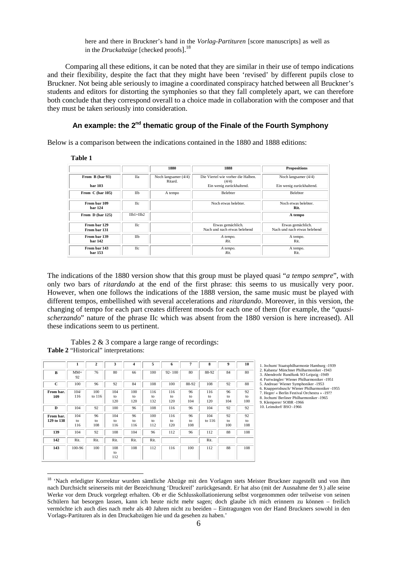here and there in Bruckner's hand in the *Vorlag-Partituren* [score manuscripts] as well as in the *Druckabzüge* [checked proofs].<sup>18</sup>

Comparing all these editions, it can be noted that they are similar in their use of tempo indications and their flexibility, despite the fact that they might have been 'revised' by different pupils close to Bruckner. Not being able seriously to imagine a coordinated conspiracy hatched between all Bruckner's students and editors for distorting the symphonies so that they fall completely apart, we can therefore both conclude that they correspond overall to a choice made in collaboration with the composer and that they must be taken seriously into consideration.

# **An example: the 2nd thematic group of the Finale of the Fourth Symphony**

Below is a comparison between the indications contained in the 1880 and 1888 editions:

l

|                                |            | 1880                              | 1888                                              | <b>Propositions</b>                               |
|--------------------------------|------------|-----------------------------------|---------------------------------------------------|---------------------------------------------------|
| From B (bar 93)                | Ha         | Noch langsamer $(4/4)$<br>Ritard. | Die Viertel wie vorher die Halben.<br>(4/4)       | Noch langsamer $(4/4)$                            |
| <b>bar 103</b>                 |            |                                   | Ein wenig zurückhaltend.                          | Ein wenig zurückhaltend.                          |
| From C (bar 105)               | IIb        | A tempo                           | <b>Belehter</b>                                   | Belebter                                          |
| From bar 109<br><b>bar 124</b> | IIc        |                                   | Noch etwas belebter.                              | Noch etwas belebter.<br>Rit.                      |
| From D (bar 125)               | $I1+I1h2$  |                                   |                                                   | A tempo                                           |
| From bar 129<br>From bar 131   | <b>H</b> c |                                   | Etwas gemächlich.<br>Nach und nach etwas belebend | Etwas gemächlich.<br>Nach und nach etwas belebend |
| From bar 139<br><b>bar 142</b> | IIb        |                                   | A tempo.<br>Rit.                                  | A tempo.<br>Rit.                                  |
| From bar 143<br>bar 153        | <b>H</b> c |                                   | A tempo.<br>Rit.                                  | A tempo.<br>Rit.                                  |

The indications of the 1880 version show that this group must be played quasi "*a tempo sempre*", with only two bars of *ritardando* at the end of the first phrase: this seems to us musically very poor. However, when one follows the indications of the 1888 version, the same music must be played with different tempos, embellished with several accelerations and *ritardando*. Moreover, in this version, the changing of tempo for each part creates different moods for each one of them (for example, the "*quasischerzando*" nature of the phrase IIc which was absent from the 1880 version is here increased). All these indications seem to us pertinent.

Tables 2 & 3 compare a large range of recordings: **Table 2** "Historical" interpretations:

|            | 1           | $\mathbf{2}$ | 3    | 4    | 5    | 6          | 7     | 8        | 9   | 10  |
|------------|-------------|--------------|------|------|------|------------|-------|----------|-----|-----|
| в          | $MM=$<br>92 | 76           | 80   | 66   | 100  | $92 - 100$ | 80    | 88-92    | 84  | 80  |
| C          | 100         | 96           | 92   | 84   | 108  | 100        | 88-92 | 108      | 92  | 88  |
| From bar.  | 104/        | 100          | 104  | 100  | 116  | 116        | 96    | 116      | 96  | 92  |
| 109        | 116         | to 116       | to   | to   | to   | to         | to    | to       | to  | to  |
|            |             |              | 120  | 120  | 132  | 120        | 104   | 120      | 104 | 100 |
| D          | 104         | 92           | 100  | 96   | 108  | 116        | 96    | 104      | 92  | 92  |
| From bar.  | 104         | 96           | 104  | 96   | 100  | 116        | 96    | 104      | 92  | 92  |
| 129 to 138 | to          | to           | to   | to   | to   | to         | to    | to $116$ | to  | to  |
|            | 116         | 108          | 116  | 116  | 112  | 120        | 108   |          | 100 | 108 |
| 139        | 104         | 92           | 108  | 104  | 96   | 112        | 96    | 112      | 88  | 108 |
| 142        | Rit.        | Rit.         | Rit. | Rit. | Rit. |            |       | Rit.     |     |     |
| 143        | 100-96      | 100          | 108  | 108  | 112  | 116        | 100   | 112      | 88  | 108 |
|            |             |              | to   |      |      |            |       |          |     |     |
|            |             |              | 112  |      |      |            |       |          |     |     |

chum/ Staatsphilharmonie Hamburg -1939 2. Kabasta/ Münchner Philharmoniker -1943 3. Abendroth/ Rundfunk SO Leipzig -1949

4. Furtwängler/ Wiener Philharmoniker -1951 5. Andreae/ Wiener Symphoniker -1953

7. Heger/ « Berlin Festival Orchestra » -19?? 8. Jochum/ Berliner Philharmoniker -1965

<sup>6.</sup> Knappertsbusch/ Wiener Philharmoniker -1955

emperer/ SOBR -1966

<sup>10.</sup> Leinsdorf/ BSO -1966

<sup>&</sup>lt;sup>18</sup> 'Nach erledigter Korrektur wurden sämtliche Abzüge mit den Vorlagen stets Meister Bruckner zugestellt und von ihm nach Durchsicht seinerseits mit der Bezeichnung 'Druckreif' zurückgesandt. Er hat also (mit der Ausnahme der 9.) alle seine Werke vor dem Druck vorgelegt erhalten. Ob er die Schlusskollationierung selbst vorgenommen oder teilweise von seinen Schülern hat besorgen lassen, kann ich heute nicht mehr sagen; doch glaube ich mich erinnern zu können – freilich vermöchte ich auch dies nach mehr als 40 Jahren nicht zu beeiden – Eintragungen von der Hand Bruckners sowohl in den Vorlags-Partituren als in den Druckabzügen hie und da gesehen zu haben.'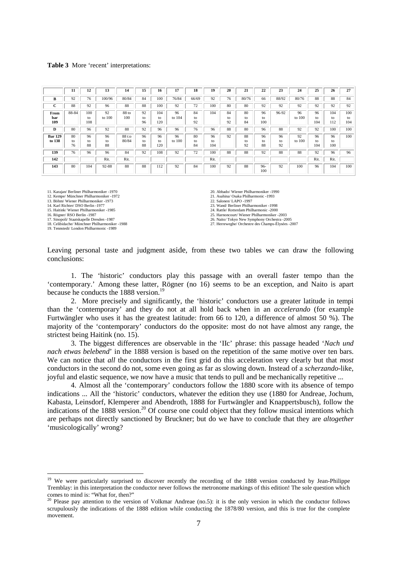#### **Table 3** More 'recent' interpretations:

|                          | 11             | 12               | 13             | 14              | 15             | 16               | 17           | 18             | 19              | 20             | 21             | 22              | 23             | 24           | 25              | 26               | 27               |
|--------------------------|----------------|------------------|----------------|-----------------|----------------|------------------|--------------|----------------|-----------------|----------------|----------------|-----------------|----------------|--------------|-----------------|------------------|------------------|
| B                        | 92             | 76               | 100/96         | 80/84           | 84             | 100              | 76/84        | 66/69          | 92              | 76             | 80/76          | 66              | 88/92          | 80/76        | 88              | 88               | 84               |
| r<br>◡                   | 88             | 92               | 96             | 88              | 88             | 100              | 92           | 72             | 100             | 80             | 80             | 92              | 92             | 92           | 92              | 92               | 92               |
| From<br>bar<br>109       | 88-84          | 100<br>to<br>108 | 92<br>to 100   | 88 to<br>100    | 92<br>to<br>96 | 104<br>to<br>120 | 96<br>to 104 | 84<br>to<br>92 | 104             | 84<br>to<br>92 | 80<br>to<br>84 | 96<br>to<br>100 | 96-92          | 96<br>to 100 | 96<br>to<br>104 | 104<br>to<br>112 | 100<br>to<br>104 |
| D                        | 80             | 96               | 92             | 88              | 92             | 96               | 96           | 76             | 96              | 88             | 80             | 96              | 88             | 92           | 92              | 100              | 100              |
| <b>Bar 129</b><br>to 138 | 80<br>to<br>76 | 96<br>to<br>88   | 96<br>to<br>88 | 88 t:o<br>80/84 | 96<br>to<br>88 | 96<br>to<br>120  | 96<br>to 100 | 80<br>to<br>84 | 96<br>to<br>104 | 92             | 88<br>to<br>92 | 96<br>to<br>88  | 96<br>to<br>92 | 92<br>to 100 | 96<br>to<br>104 | 96<br>to<br>100  | 100              |
| 139                      | 76             | 96               | 96             | 84              | 92             | 108              | 92           | 72             | 100             | 88             | 88             | 92              | 88             | 88           | 92              | 96               | 96               |
| 142                      |                |                  | Rit.           | Rit.            |                |                  |              |                | Rit.            |                |                |                 |                |              | Rit.            | Rit.             |                  |
| 143                      | 80             | 104              | 92-88          | 88              | 88             | 112              | 92           | 84             | 100             | 92             | 88             | $96-$<br>100    | 92             | 100          | 96              | 104              | 100              |

11. Karajan/ Berliner Philharmoniker -1970

12. Kempe/ Münchner Philharmoniker -1972 13. Böhm/ Wiener Philharmoniker -1973

14. Karl Richter/ DSO Berlin -1977

15. Haitink/ Wiener Philharmoniker -1985

16. Rögner/ RSO Berlin -1987

l

17. Sinopoli/ Staatskapelle Dresden -1987

18. Celibidache/ Münchner Philharmoniker -1988 19. Tennstedt/ London Philharmonic -1989

20. Abbado/ Wiener Philharmoniker -1990

21. Asahina/ Osaka Philharmonic -1993 22. Salonen/ LAPO -1997

23. Wand/ Berliner Philharmoniker -1998 24. Rattle/ Rotterdam Philharmonic -2000

25. Harnoncourt/ Wiener Philharmoniker -2003

26. Naito/ Tokyo New Symphony Orchestra -2005 27. Herreweghe/ Orchestre des Champs-Élysées -2007

Leaving personal taste and judgment aside, from these two tables we can draw the following conclusions:

1. The 'historic' conductors play this passage with an overall faster tempo than the 'contemporary.' Among these latter, Rögner (no 16) seems to be an exception, and Naito is apart because he conducts the 1888 version.<sup>19</sup>

2. More precisely and significantly, the 'historic' conductors use a greater latitude in tempi than the 'contemporary' and they do not at all hold back when in an *accelerando* (for example Furtwängler who uses it has the greatest latitude: from 66 to 120, a difference of almost 50 %). The majority of the 'contemporary' conductors do the opposite: most do not have almost any range, the strictest being Haitink (no. 15).

3. The biggest differences are observable in the 'IIc' phrase: this passage headed '*Nach und nach etwas belebend*' in the 1888 version is based on the repetition of the same motive over ten bars. We can notice that *all* the conductors in the first grid do this acceleration very clearly but that *most* conductors in the second do not, some even going as far as slowing down. Instead of a *scherzando*-like, joyful and elastic sequence, we now have a music that tends to pull and be mechanically repetitive ...

4. Almost all the 'contemporary' conductors follow the 1880 score with its absence of tempo indications ... All the 'historic' conductors, whatever the edition they use (1880 for Andreae, Jochum, Kabasta, Leinsdorf, Klemperer and Abendroth, 1888 for Furtwängler and Knappertsbusch), follow the indications of the 1888 version.<sup>20</sup> Of course one could object that they follow musical intentions which are perhaps not directly sanctioned by Bruckner; but do we have to conclude that they are *altogether* 'musicologically' wrong?

<sup>&</sup>lt;sup>19</sup> We were particularly surprised to discover recently the recording of the 1888 version conducted by Jean-Philippe Tremblay: in this interpretation the conductor never follows the metronome markings of this edition! The sole question which comes to mind is: "What for, then?"

<sup>&</sup>lt;sup>20</sup> Please pay attention to the version of Volkmar Andreae (no.5): it is the only version in which the conductor follows scrupulously the indications of the 1888 edition while conducting the 1878/80 version, and this is true for the complete movement.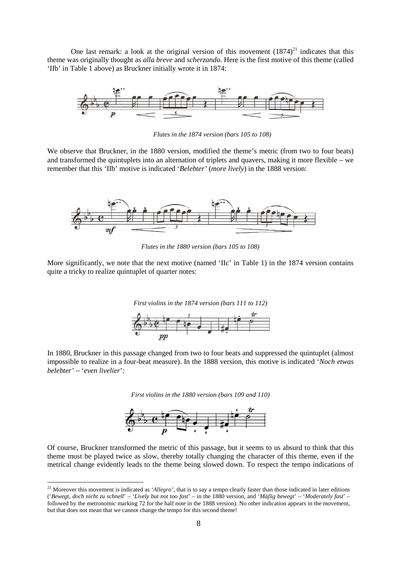One last remark: a look at the original version of this movement  $(1874)^{21}$  indicates that this theme was originally thought as *alla breve* and *scherzando.* Here is the first motive of this theme (called 'IIb' in Table 1 above) as Bruckner initially wrote it in 1874:



*Flutes in the 1874 version (bars 105 to 108)* 

We observe that Bruckner, in the 1880 version, modified the theme's metric (from two to four beats) and transformed the quintuplets into an alternation of triplets and quavers, making it more flexible – we remember that this 'IIb' motive is indicated '*Belebter'* (*more lively*) in the 1888 version:



*Flutes in the 1880 version (bars 105 to 108)* 

More significantly, we note that the next motive (named 'IIc' in Table 1) in the 1874 version contains quite a tricky to realize quintuplet of quarter notes:



In 1880, Bruckner in this passage changed from two to four beats and suppressed the quintuplet (almost impossible to realize in a four-beat measure). In the 1888 version, this motive is indicated '*Noch etwas belebter'* – '*even livelier*':

*First violins in the 1880 version (bars 109 and 110)* 



Of course, Bruckner transformed the metric of this passage, but it seems to us absurd to think that this theme must be played twice as slow, thereby totally changing the character of this theme, even if the metrical change evidently leads to the theme being slowed down. To respect the tempo indications of

<sup>&</sup>lt;sup>21</sup> Moreover this movement is indicated as '*Allegro*', that is to say a tempo clearly faster than those indicated in later editions ('*Bewegt, doch nicht zu schnell*' – '*Lively but not too fast*' – in the 1880 version, and '*Mäβig bewegt*' – '*Moderately fast*' – followed by the metronomic marking 72 for the half note in the 1888 version). No other indication appears in the movement, but that does not mean that we cannot change the tempo for this second theme!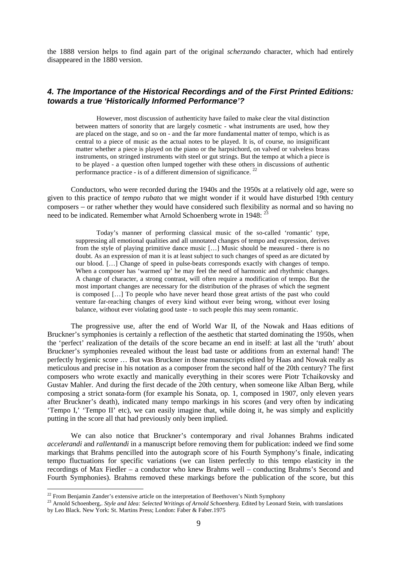the 1888 version helps to find again part of the original *scherzando* character, which had entirely disappeared in the 1880 version.

# **4. The Importance of the Historical Recordings and of the First Printed Editions: towards a true 'Historically Informed Performance'?**

However, most discussion of authenticity have failed to make clear the vital distinction between matters of sonority that are largely cosmetic - what instruments are used, how they are placed on the stage, and so on - and the far more fundamental matter of tempo, which is as central to a piece of music as the actual notes to be played. It is, of course, no insignificant matter whether a piece is played on the piano or the harpsichord, on valved or valveless brass instruments, on stringed instruments with steel or gut strings. But the tempo at which a piece is to be played - a question often lumped together with these others in discussions of authentic performance practice - is of a different dimension of significance.<sup>2</sup>

Conductors, who were recorded during the 1940s and the 1950s at a relatively old age, were so given to this practice of *tempo rubato* that we might wonder if it would have disturbed 19th century composers – or rather whether they would have considered such flexibility as normal and so having no need to be indicated. Remember what Arnold Schoenberg wrote in 1948:  $^{23}$ 

Today's manner of performing classical music of the so-called 'romantic' type, suppressing all emotional qualities and all unnotated changes of tempo and expression, derives from the style of playing primitive dance music […] Music should be measured - there is no doubt. As an expression of man it is at least subject to such changes of speed as are dictated by our blood. […] Change of speed in pulse-beats corresponds exactly with changes of tempo. When a composer has 'warmed up' he may feel the need of harmonic and rhythmic changes. A change of character, a strong contrast, will often require a modification of tempo. But the most important changes are necessary for the distribution of the phrases of which the segment is composed […] To people who have never heard those great artists of the past who could venture far-reaching changes of every kind without ever being wrong, without ever losing balance, without ever violating good taste - to such people this may seem romantic.

The progressive use, after the end of World War II, of the Nowak and Haas editions of Bruckner's symphonies is certainly a reflection of the aesthetic that started dominating the 1950s, when the 'perfect' realization of the details of the score became an end in itself: at last all the 'truth' about Bruckner's symphonies revealed without the least bad taste or additions from an external hand! The perfectly hygienic score … But was Bruckner in those manuscripts edited by Haas and Nowak really as meticulous and precise in his notation as a composer from the second half of the 20th century? The first composers who wrote exactly and manically everything in their scores were Piotr Tchaikovsky and Gustav Mahler. And during the first decade of the 20th century, when someone like Alban Berg, while composing a strict sonata-form (for example his Sonata, op. 1, composed in 1907, only eleven years after Bruckner's death), indicated many tempo markings in his scores (and very often by indicating 'Tempo I,' 'Tempo II' etc), we can easily imagine that, while doing it, he was simply and explicitly putting in the score all that had previously only been implied.

We can also notice that Bruckner's contemporary and rival Johannes Brahms indicated *accelerandi* and *rallentandi* in a manuscript before removing them for publication: indeed we find some markings that Brahms pencilled into the autograph score of his Fourth Symphony's finale, indicating tempo fluctuations for specific variations (we can listen perfectly to this tempo elasticity in the recordings of Max Fiedler – a conductor who knew Brahms well – conducting Brahms's Second and Fourth Symphonies). Brahms removed these markings before the publication of the score, but this

 $22$  From Benjamin Zander's extensive article on the interpretation of Beethoven's Ninth Symphony

<sup>&</sup>lt;sup>23</sup> Arnold Schoenberg,. *Style and Idea: Selected Writings of Arnold Schoenberg*. Edited by Leonard Stein, with translations by Leo Black. New York: St. Martins Press; London: Faber & Faber.1975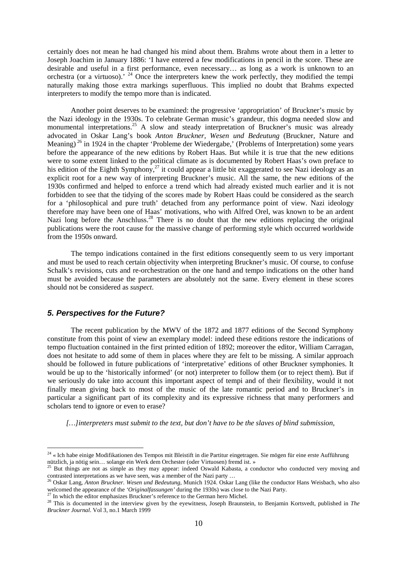certainly does not mean he had changed his mind about them. Brahms wrote about them in a letter to Joseph Joachim in January 1886: 'I have entered a few modifications in pencil in the score. These are desirable and useful in a first performance, even necessary… as long as a work is unknown to an orchestra (or a virtuoso).<sup>24</sup> Once the interpreters knew the work perfectly, they modified the tempi naturally making those extra markings superfluous. This implied no doubt that Brahms expected interpreters to modify the tempo more than is indicated.

 Another point deserves to be examined: the progressive 'appropriation' of Bruckner's music by the Nazi ideology in the 1930s. To celebrate German music's grandeur, this dogma needed slow and monumental interpretations.<sup>25</sup> A slow and steady interpretation of Bruckner's music was already advocated in Oskar Lang's book *Anton Bruckner, Wesen und Bedeutung* (Bruckner, Nature and Meaning)<sup>26</sup> in 1924 in the chapter 'Probleme der Wiedergabe,' (Problems of Interpretation) some years before the appearance of the new editions by Robert Haas. But while it is true that the new editions were to some extent linked to the political climate as is documented by Robert Haas's own preface to his edition of the Eighth Symphony,<sup>27</sup> it could appear a little bit exaggerated to see Nazi ideology as an explicit root for a new way of interpreting Bruckner's music. All the same, the new editions of the 1930s confirmed and helped to enforce a trend which had already existed much earlier and it is not forbidden to see that the tidying of the scores made by Robert Haas could be considered as the search for a 'philosophical and pure truth' detached from any performance point of view. Nazi ideology therefore may have been one of Haas' motivations, who with Alfred Orel, was known to be an ardent Nazi long before the Anschluss.<sup>28</sup> There is no doubt that the new editions replacing the original publications were the root cause for the massive change of performing style which occurred worldwide from the 1950s onward.

 The tempo indications contained in the first editions consequently seem to us very important and must be used to reach certain objectivity when interpreting Bruckner's music. Of course, to confuse Schalk's revisions, cuts and re-orchestration on the one hand and tempo indications on the other hand must be avoided because the parameters are absolutely not the same. Every element in these scores should not be considered as *suspect*.

# **5. Perspectives for the Future?**

 $\overline{a}$ 

 The recent publication by the MWV of the 1872 and 1877 editions of the Second Symphony constitute from this point of view an exemplary model: indeed these editions restore the indications of tempo fluctuation contained in the first printed edition of 1892; moreover the editor, William Carragan, does not hesitate to add some of them in places where they are felt to be missing. A similar approach should be followed in future publications of 'interpretative' editions of other Bruckner symphonies. It would be up to the 'historically informed' (or not) interpreter to follow them (or to reject them). But if we seriously do take into account this important aspect of tempi and of their flexibility, would it not finally mean giving back to most of the music of the late romantic period and to Bruckner's in particular a significant part of its complexity and its expressive richness that many performers and scholars tend to ignore or even to erase?

*[…]interpreters must submit to the text, but don't have to be the slaves of blind submission,* 

<sup>&</sup>lt;sup>24</sup> « Ich habe einige Modifikationen des Tempos mit Bleistift in die Partitur eingetragen. Sie mögen für eine erste Aufführung nützlich, ja nötig sein… solange ein Werk dem Orchester (oder Virtuosen) fremd ist. »

<sup>25</sup> But things are not as simple as they may appear: indeed Oswald Kabasta, a conductor who conducted very moving and contrasted interpretations as we have seen, was a member of the Nazi party …<br><sup>26</sup> Oskar Lang, *Anton Bruckner. Wesen und Bedeutung*, Munich 1924. Oskar Lang (like the conductor Hans Weisbach, who also

welcomed the appearance of the *'Originalfassungen'* during the 1930s) was close to the Nazi Party.

 $^{27}$  In which the editor emphasizes Bruckner's reference to the German hero Michel.

<sup>&</sup>lt;sup>28</sup> This is documented in the interview given by the eyewitness, Joseph Braunstein, to Benjamin Kortsvedt, published in *The* <sup>28</sup> *Bruckner Journal*. Vol 3, no.1 March 1999